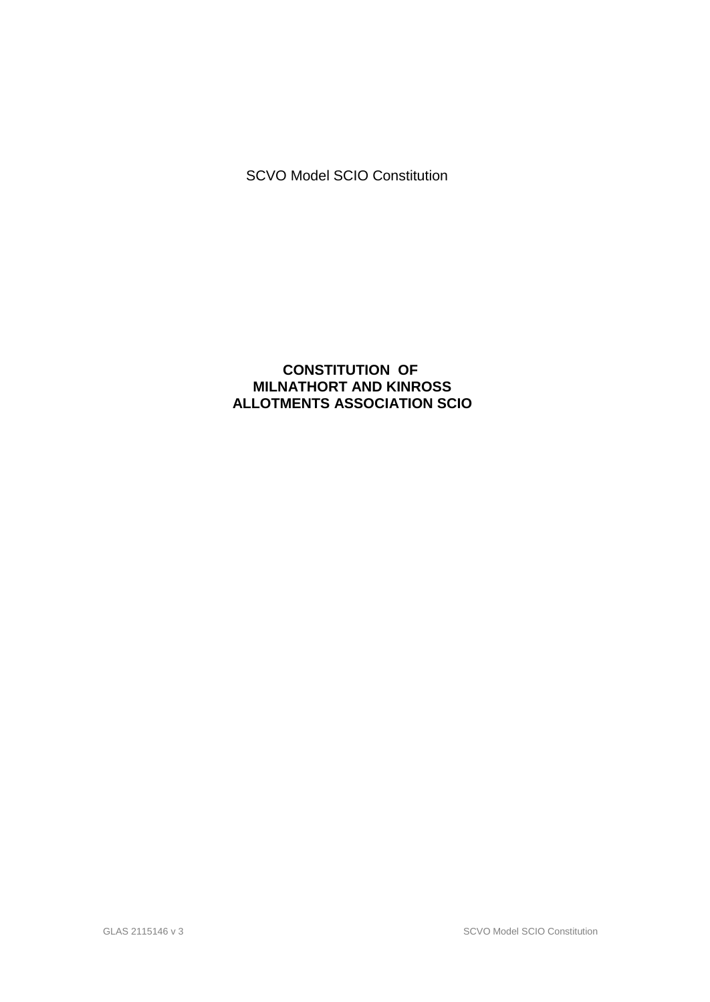SCVO Model SCIO Constitution

# **CONSTITUTION OF MILNATHORT AND KINROSS ALLOTMENTS ASSOCIATION SCIO**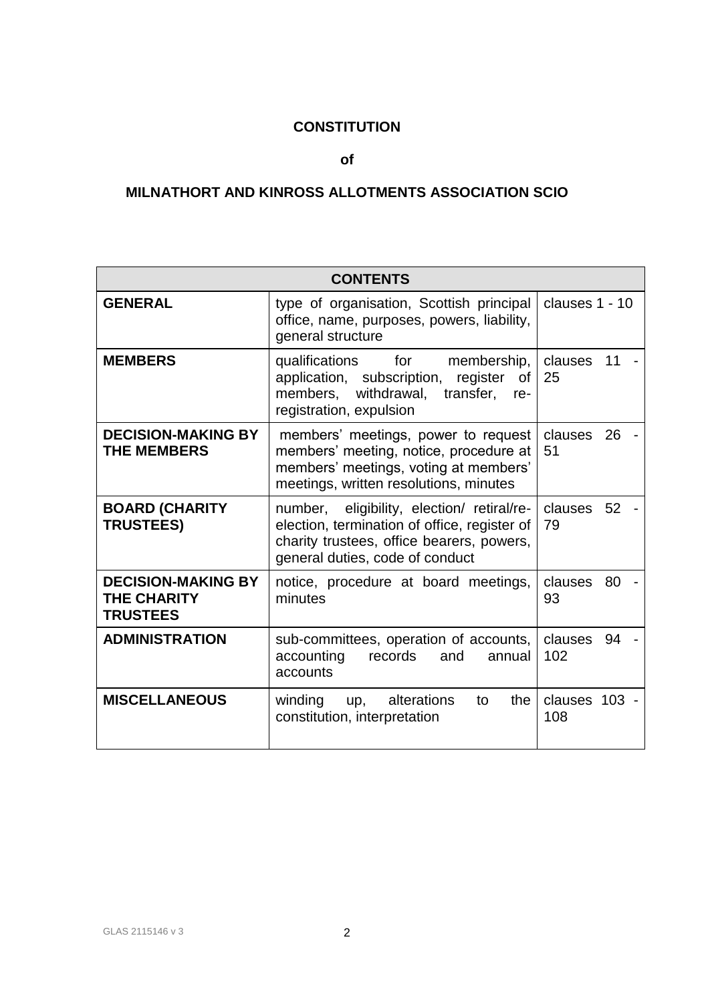# **CONSTITUTION**

**of**

# **MILNATHORT AND KINROSS ALLOTMENTS ASSOCIATION SCIO**

| <b>CONTENTS</b>                                                    |                                                                                                                                                                            |                      |
|--------------------------------------------------------------------|----------------------------------------------------------------------------------------------------------------------------------------------------------------------------|----------------------|
| <b>GENERAL</b>                                                     | type of organisation, Scottish principal<br>office, name, purposes, powers, liability,<br>general structure                                                                | clauses 1 - 10       |
| <b>MEMBERS</b>                                                     | qualifications for<br>membership,<br>application, subscription, register<br>of I<br>members, withdrawal, transfer,<br>re-<br>registration, expulsion                       | clauses<br>11<br>25  |
| <b>DECISION-MAKING BY</b><br><b>THE MEMBERS</b>                    | members' meetings, power to request<br>members' meeting, notice, procedure at<br>members' meetings, voting at members'<br>meetings, written resolutions, minutes           | clauses<br>26<br>51  |
| <b>BOARD (CHARITY</b><br><b>TRUSTEES)</b>                          | number, eligibility, election/ retiral/re-<br>election, termination of office, register of<br>charity trustees, office bearers, powers,<br>general duties, code of conduct | clauses 52<br>79     |
| <b>DECISION-MAKING BY</b><br><b>THE CHARITY</b><br><b>TRUSTEES</b> | notice, procedure at board meetings,<br>minutes                                                                                                                            | clauses<br>80<br>93  |
| <b>ADMINISTRATION</b>                                              | sub-committees, operation of accounts,<br>accounting<br>records<br>and<br>annual<br>accounts                                                                               | clauses<br>94<br>102 |
| <b>MISCELLANEOUS</b>                                               | winding up, alterations<br>the<br>to<br>constitution, interpretation                                                                                                       | clauses 103 -<br>108 |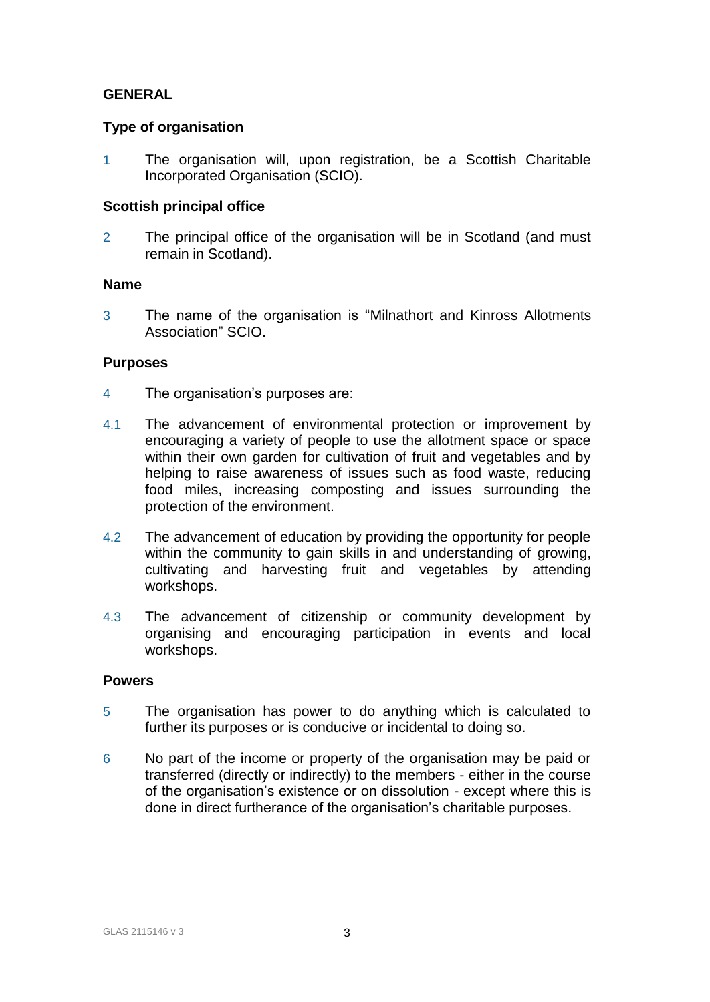# **GENERAL**

### **Type of organisation**

1 The organisation will, upon registration, be a Scottish Charitable Incorporated Organisation (SCIO).

# **Scottish principal office**

2 The principal office of the organisation will be in Scotland (and must remain in Scotland).

#### **Name**

3 The name of the organisation is "Milnathort and Kinross Allotments Association" SCIO.

# **Purposes**

- 4 The organisation's purposes are:
- 4.1 The advancement of environmental protection or improvement by encouraging a variety of people to use the allotment space or space within their own garden for cultivation of fruit and vegetables and by helping to raise awareness of issues such as food waste, reducing food miles, increasing composting and issues surrounding the protection of the environment.
- 4.2 The advancement of education by providing the opportunity for people within the community to gain skills in and understanding of growing, cultivating and harvesting fruit and vegetables by attending workshops.
- 4.3 The advancement of citizenship or community development by organising and encouraging participation in events and local workshops.

#### **Powers**

- 5 The organisation has power to do anything which is calculated to further its purposes or is conducive or incidental to doing so.
- 6 No part of the income or property of the organisation may be paid or transferred (directly or indirectly) to the members - either in the course of the organisation's existence or on dissolution - except where this is done in direct furtherance of the organisation's charitable purposes.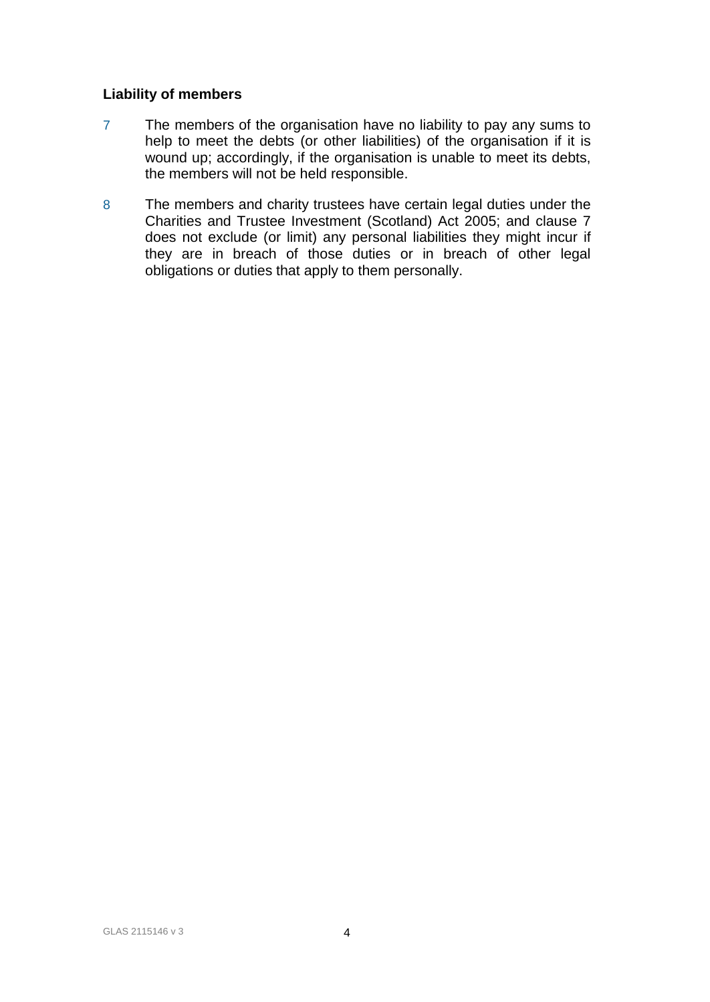# **Liability of members**

- 7 The members of the organisation have no liability to pay any sums to help to meet the debts (or other liabilities) of the organisation if it is wound up; accordingly, if the organisation is unable to meet its debts, the members will not be held responsible.
- 8 The members and charity trustees have certain legal duties under the Charities and Trustee Investment (Scotland) Act 2005; and clause 7 does not exclude (or limit) any personal liabilities they might incur if they are in breach of those duties or in breach of other legal obligations or duties that apply to them personally.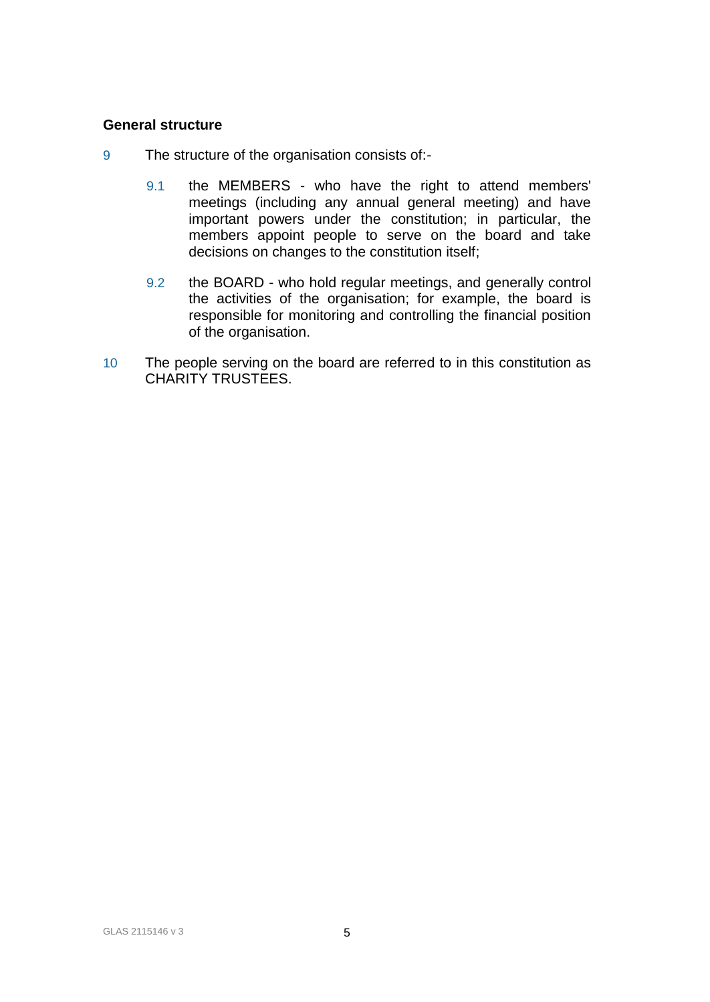# **General structure**

- 9 The structure of the organisation consists of:-
	- 9.1 the MEMBERS who have the right to attend members' meetings (including any annual general meeting) and have important powers under the constitution; in particular, the members appoint people to serve on the board and take decisions on changes to the constitution itself;
	- 9.2 the BOARD who hold regular meetings, and generally control the activities of the organisation; for example, the board is responsible for monitoring and controlling the financial position of the organisation.
- 10 The people serving on the board are referred to in this constitution as CHARITY TRUSTEES.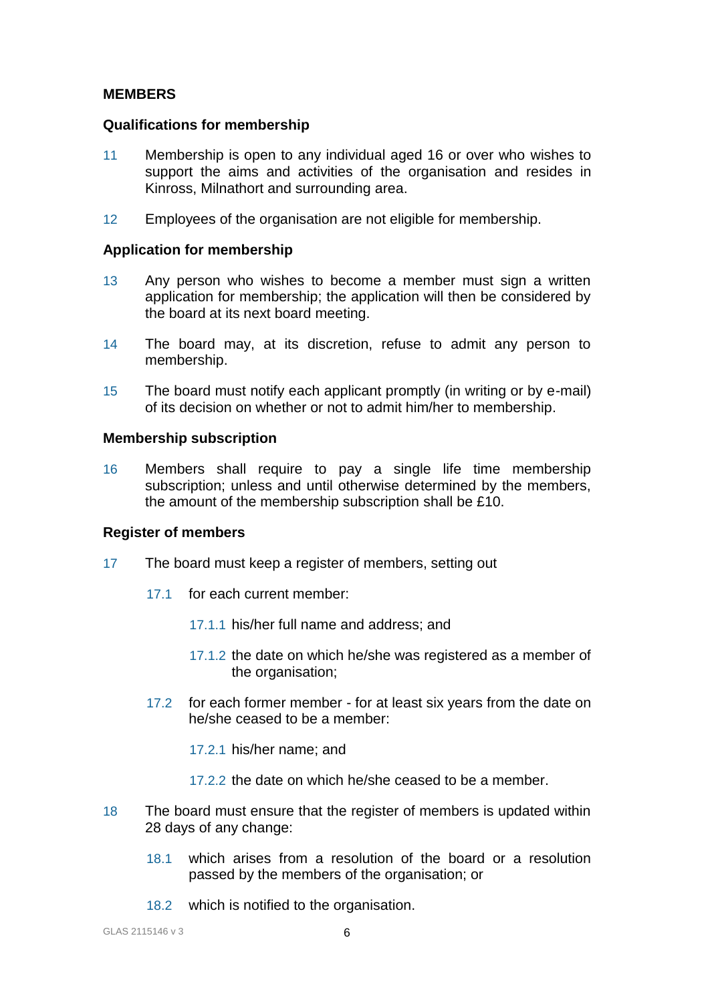# **MEMBERS**

#### **Qualifications for membership**

- 11 Membership is open to any individual aged 16 or over who wishes to support the aims and activities of the organisation and resides in Kinross, Milnathort and surrounding area.
- 12 Employees of the organisation are not eligible for membership.

#### **Application for membership**

- 13 Any person who wishes to become a member must sign a written application for membership; the application will then be considered by the board at its next board meeting.
- 14 The board may, at its discretion, refuse to admit any person to membership.
- 15 The board must notify each applicant promptly (in writing or by e-mail) of its decision on whether or not to admit him/her to membership.

#### **Membership subscription**

16 Members shall require to pay a single life time membership subscription; unless and until otherwise determined by the members, the amount of the membership subscription shall be £10.

#### **Register of members**

- 17 The board must keep a register of members, setting out
	- 17.1 for each current member:
		- 17.1.1 his/her full name and address; and
		- 17.1.2 the date on which he/she was registered as a member of the organisation;
	- 17.2 for each former member for at least six years from the date on he/she ceased to be a member:
		- 17.2.1 his/her name; and
		- 17.2.2 the date on which he/she ceased to be a member.
- 18 The board must ensure that the register of members is updated within 28 days of any change:
	- 18.1 which arises from a resolution of the board or a resolution passed by the members of the organisation; or
	- 18.2 which is notified to the organisation.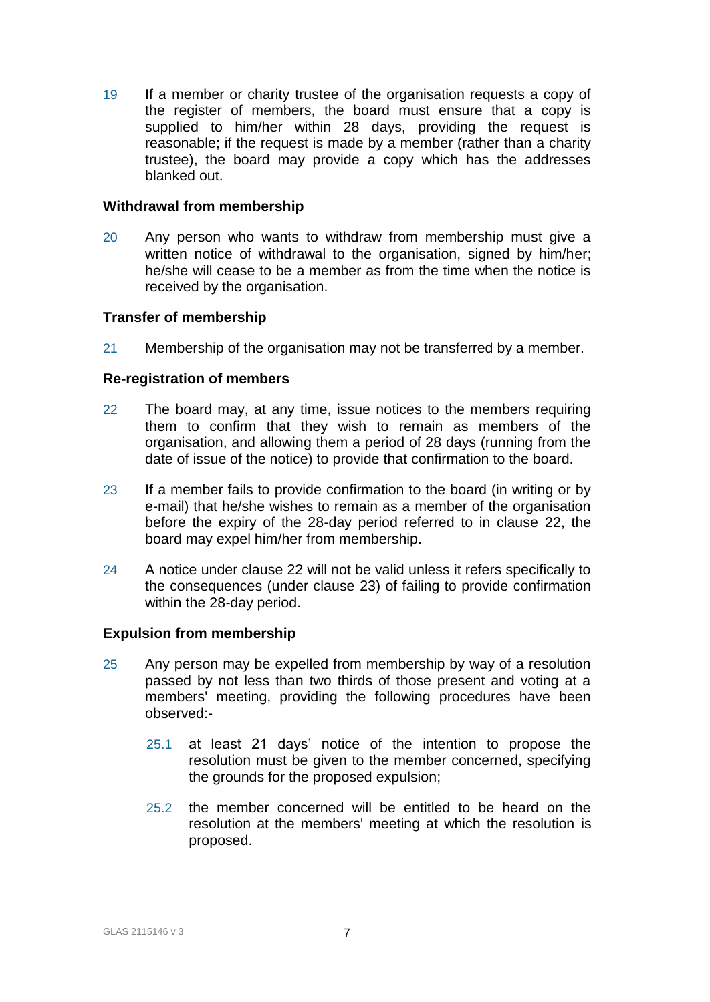19 If a member or charity trustee of the organisation requests a copy of the register of members, the board must ensure that a copy is supplied to him/her within 28 days, providing the request is reasonable; if the request is made by a member (rather than a charity trustee), the board may provide a copy which has the addresses blanked out.

#### **Withdrawal from membership**

20 Any person who wants to withdraw from membership must give a written notice of withdrawal to the organisation, signed by him/her; he/she will cease to be a member as from the time when the notice is received by the organisation.

# **Transfer of membership**

21 Membership of the organisation may not be transferred by a member.

# **Re-registration of members**

- 22 The board may, at any time, issue notices to the members requiring them to confirm that they wish to remain as members of the organisation, and allowing them a period of 28 days (running from the date of issue of the notice) to provide that confirmation to the board.
- 23 If a member fails to provide confirmation to the board (in writing or by e-mail) that he/she wishes to remain as a member of the organisation before the expiry of the 28-day period referred to in clause 22, the board may expel him/her from membership.
- 24 A notice under clause 22 will not be valid unless it refers specifically to the consequences (under clause 23) of failing to provide confirmation within the 28-day period.

#### **Expulsion from membership**

- 25 Any person may be expelled from membership by way of a resolution passed by not less than two thirds of those present and voting at a members' meeting, providing the following procedures have been observed:-
	- 25.1 at least 21 days' notice of the intention to propose the resolution must be given to the member concerned, specifying the grounds for the proposed expulsion;
	- 25.2 the member concerned will be entitled to be heard on the resolution at the members' meeting at which the resolution is proposed.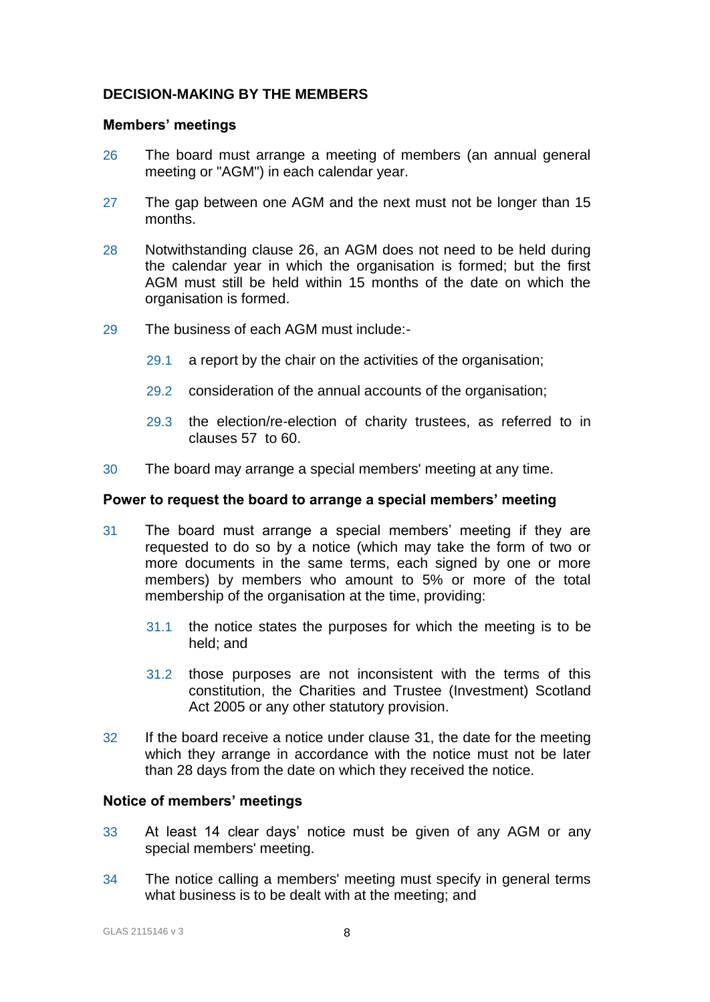# **DECISION-MAKING BY THE MEMBERS**

### **Members' meetings**

- 26 The board must arrange a meeting of members (an annual general meeting or "AGM") in each calendar year.
- 27 The gap between one AGM and the next must not be longer than 15 months.
- 28 Notwithstanding clause 26, an AGM does not need to be held during the calendar year in which the organisation is formed; but the first AGM must still be held within 15 months of the date on which the organisation is formed.
- 29 The business of each AGM must include:-
	- 29.1 a report by the chair on the activities of the organisation;
	- 29.2 consideration of the annual accounts of the organisation;
	- 29.3 the election/re-election of charity trustees, as referred to in clauses 57 to 60.
- 30 The board may arrange a special members' meeting at any time.

# **Power to request the board to arrange a special members' meeting**

- 31 The board must arrange a special members' meeting if they are requested to do so by a notice (which may take the form of two or more documents in the same terms, each signed by one or more members) by members who amount to 5% or more of the total membership of the organisation at the time, providing:
	- 31.1 the notice states the purposes for which the meeting is to be held; and
	- 31.2 those purposes are not inconsistent with the terms of this constitution, the Charities and Trustee (Investment) Scotland Act 2005 or any other statutory provision.
- 32 If the board receive a notice under clause 31, the date for the meeting which they arrange in accordance with the notice must not be later than 28 days from the date on which they received the notice.

# **Notice of members' meetings**

- 33 At least 14 clear days' notice must be given of any AGM or any special members' meeting.
- 34 The notice calling a members' meeting must specify in general terms what business is to be dealt with at the meeting; and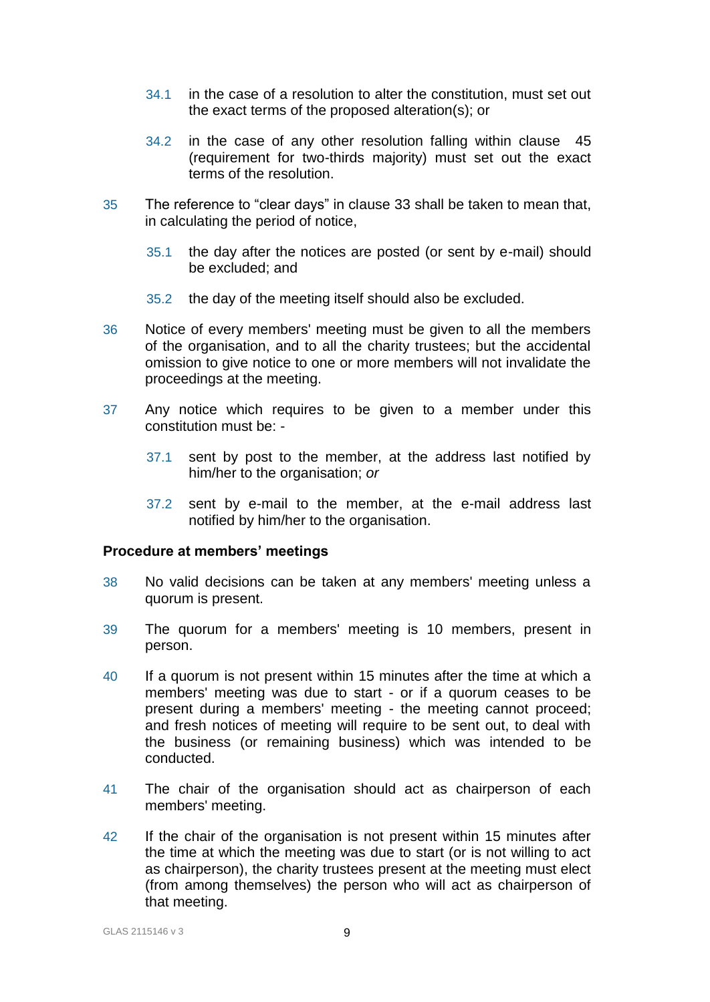- 34.1 in the case of a resolution to alter the constitution, must set out the exact terms of the proposed alteration(s); or
- 34.2 in the case of any other resolution falling within clause 45 (requirement for two-thirds majority) must set out the exact terms of the resolution.
- 35 The reference to "clear days" in clause 33 shall be taken to mean that, in calculating the period of notice,
	- 35.1 the day after the notices are posted (or sent by e-mail) should be excluded; and
	- 35.2 the day of the meeting itself should also be excluded.
- 36 Notice of every members' meeting must be given to all the members of the organisation, and to all the charity trustees; but the accidental omission to give notice to one or more members will not invalidate the proceedings at the meeting.
- 37 Any notice which requires to be given to a member under this constitution must be: -
	- 37.1 sent by post to the member, at the address last notified by him/her to the organisation; *or*
	- 37.2 sent by e-mail to the member, at the e-mail address last notified by him/her to the organisation.

# **Procedure at members' meetings**

- 38 No valid decisions can be taken at any members' meeting unless a quorum is present.
- 39 The quorum for a members' meeting is 10 members, present in person.
- 40 If a quorum is not present within 15 minutes after the time at which a members' meeting was due to start - or if a quorum ceases to be present during a members' meeting - the meeting cannot proceed; and fresh notices of meeting will require to be sent out, to deal with the business (or remaining business) which was intended to be conducted.
- 41 The chair of the organisation should act as chairperson of each members' meeting.
- 42 If the chair of the organisation is not present within 15 minutes after the time at which the meeting was due to start (or is not willing to act as chairperson), the charity trustees present at the meeting must elect (from among themselves) the person who will act as chairperson of that meeting.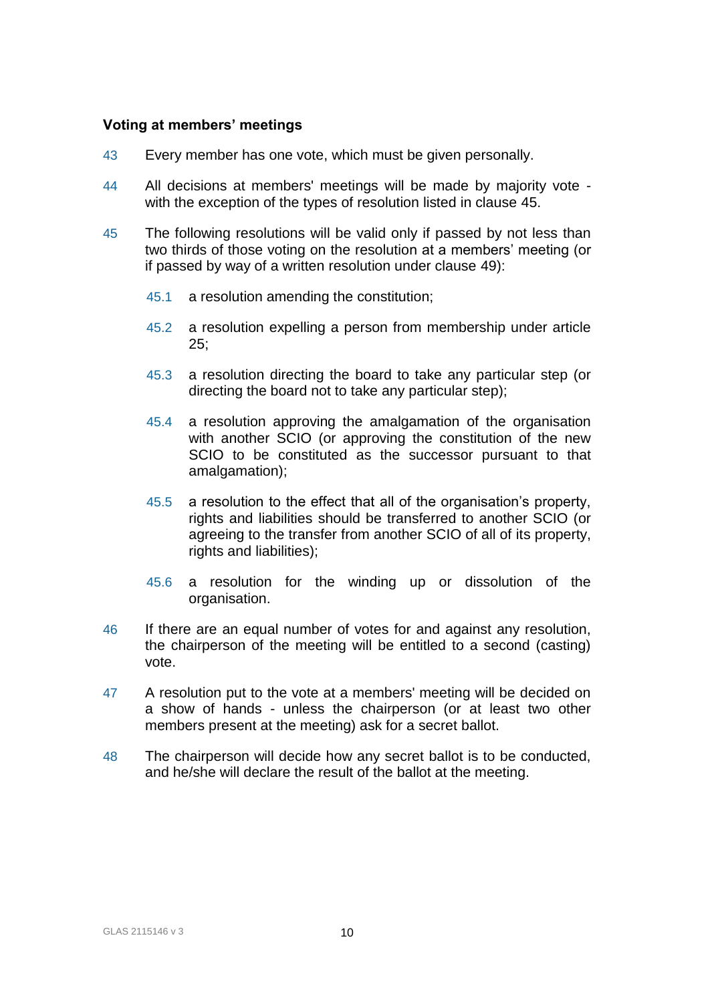# **Voting at members' meetings**

- 43 Every member has one vote, which must be given personally.
- 44 All decisions at members' meetings will be made by majority vote with the exception of the types of resolution listed in clause 45.
- 45 The following resolutions will be valid only if passed by not less than two thirds of those voting on the resolution at a members' meeting (or if passed by way of a written resolution under clause 49):
	- 45.1 a resolution amending the constitution;
	- 45.2 a resolution expelling a person from membership under article 25;
	- 45.3 a resolution directing the board to take any particular step (or directing the board not to take any particular step);
	- 45.4 a resolution approving the amalgamation of the organisation with another SCIO (or approving the constitution of the new SCIO to be constituted as the successor pursuant to that amalgamation);
	- 45.5 a resolution to the effect that all of the organisation's property, rights and liabilities should be transferred to another SCIO (or agreeing to the transfer from another SCIO of all of its property, rights and liabilities);
	- 45.6 a resolution for the winding up or dissolution of the organisation.
- 46 If there are an equal number of votes for and against any resolution, the chairperson of the meeting will be entitled to a second (casting) vote.
- 47 A resolution put to the vote at a members' meeting will be decided on a show of hands - unless the chairperson (or at least two other members present at the meeting) ask for a secret ballot.
- 48 The chairperson will decide how any secret ballot is to be conducted, and he/she will declare the result of the ballot at the meeting.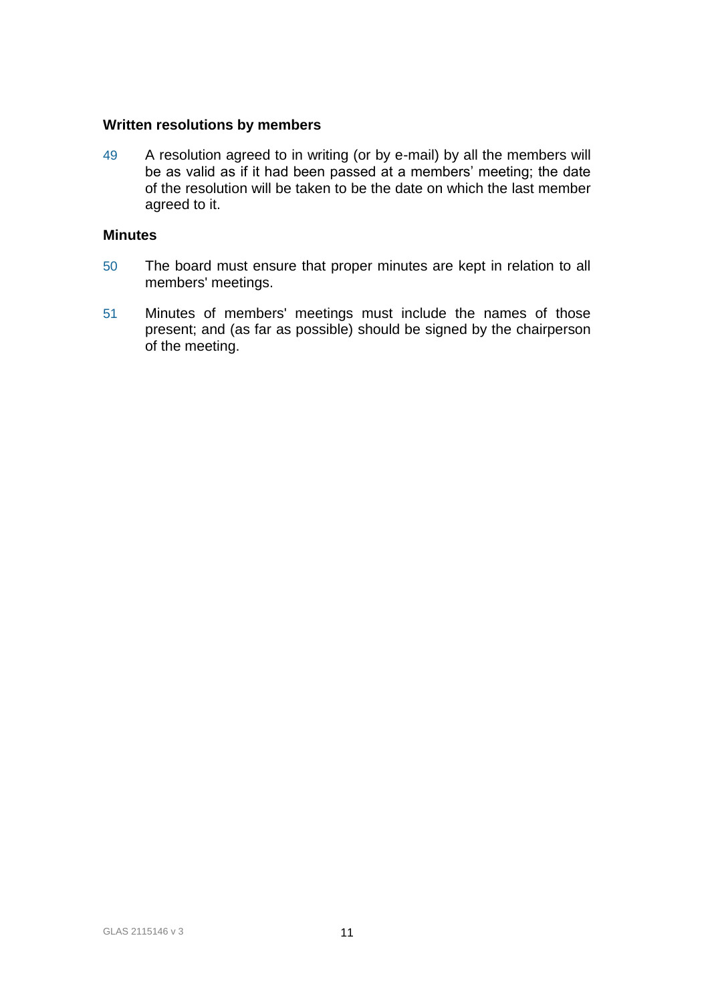#### **Written resolutions by members**

49 A resolution agreed to in writing (or by e-mail) by all the members will be as valid as if it had been passed at a members' meeting; the date of the resolution will be taken to be the date on which the last member agreed to it.

# **Minutes**

- 50 The board must ensure that proper minutes are kept in relation to all members' meetings.
- 51 Minutes of members' meetings must include the names of those present; and (as far as possible) should be signed by the chairperson of the meeting.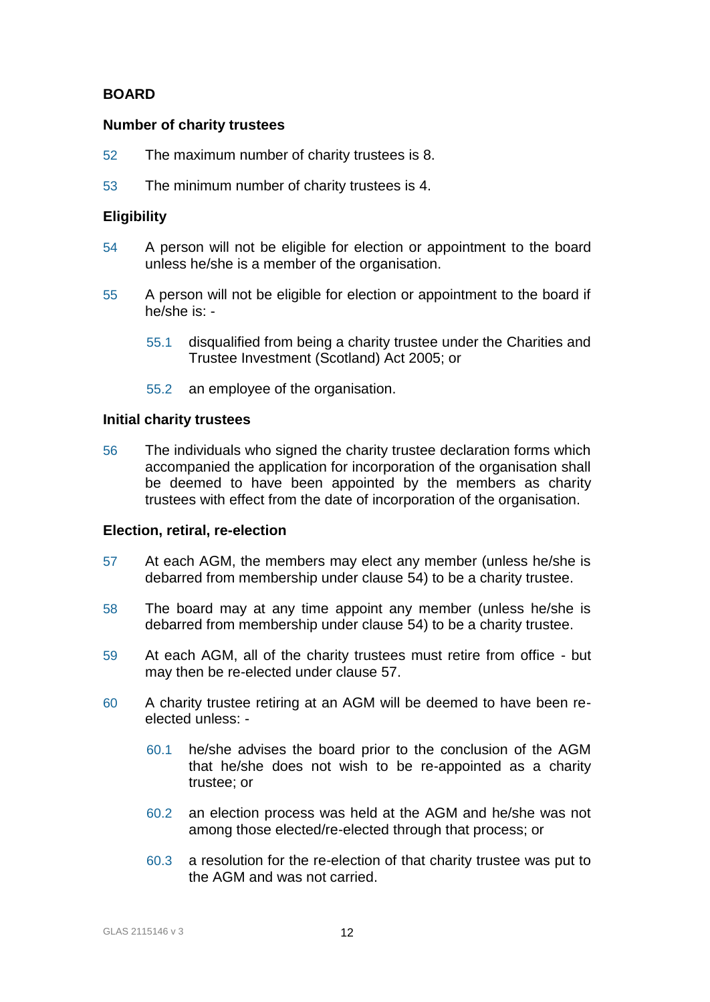# **BOARD**

### **Number of charity trustees**

- 52 The maximum number of charity trustees is 8.
- 53 The minimum number of charity trustees is 4.

# **Eligibility**

- 54 A person will not be eligible for election or appointment to the board unless he/she is a member of the organisation.
- 55 A person will not be eligible for election or appointment to the board if he/she is: -
	- 55.1 disqualified from being a charity trustee under the Charities and Trustee Investment (Scotland) Act 2005; or
	- 55.2 an employee of the organisation.

#### **Initial charity trustees**

56 The individuals who signed the charity trustee declaration forms which accompanied the application for incorporation of the organisation shall be deemed to have been appointed by the members as charity trustees with effect from the date of incorporation of the organisation.

#### **Election, retiral, re-election**

- 57 At each AGM, the members may elect any member (unless he/she is debarred from membership under clause 54) to be a charity trustee.
- 58 The board may at any time appoint any member (unless he/she is debarred from membership under clause 54) to be a charity trustee.
- 59 At each AGM, all of the charity trustees must retire from office but may then be re-elected under clause 57.
- 60 A charity trustee retiring at an AGM will be deemed to have been reelected unless: -
	- 60.1 he/she advises the board prior to the conclusion of the AGM that he/she does not wish to be re-appointed as a charity trustee; or
	- 60.2 an election process was held at the AGM and he/she was not among those elected/re-elected through that process; or
	- 60.3 a resolution for the re-election of that charity trustee was put to the AGM and was not carried.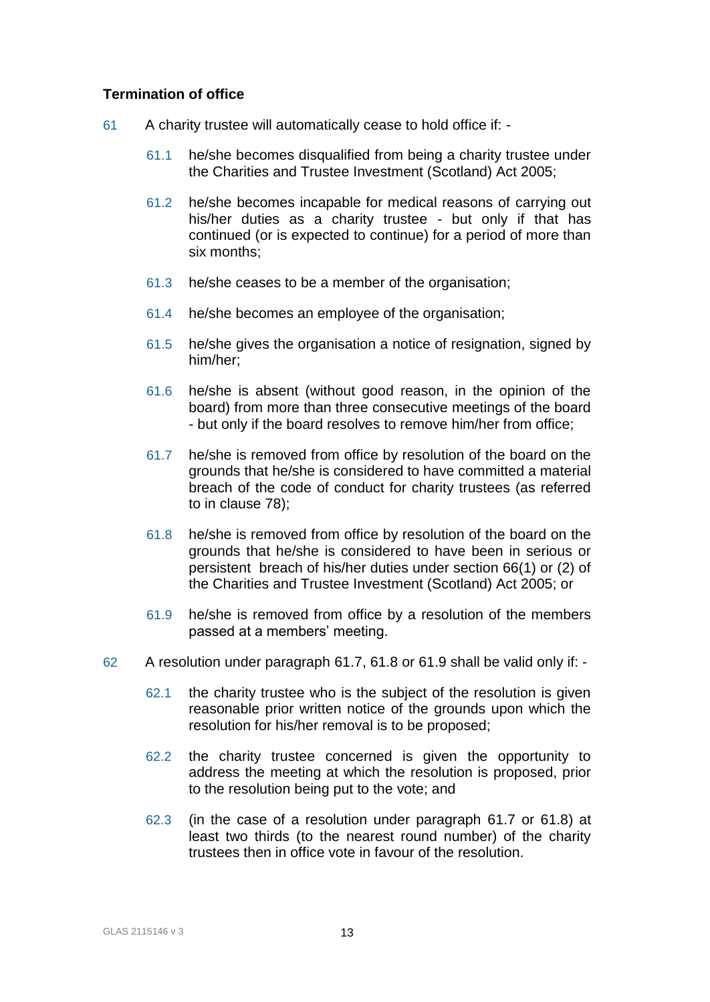# **Termination of office**

- 61 A charity trustee will automatically cease to hold office if:
	- 61.1 he/she becomes disqualified from being a charity trustee under the Charities and Trustee Investment (Scotland) Act 2005;
	- 61.2 he/she becomes incapable for medical reasons of carrying out his/her duties as a charity trustee - but only if that has continued (or is expected to continue) for a period of more than six months;
	- 61.3 he/she ceases to be a member of the organisation;
	- 61.4 he/she becomes an employee of the organisation;
	- 61.5 he/she gives the organisation a notice of resignation, signed by him/her;
	- 61.6 he/she is absent (without good reason, in the opinion of the board) from more than three consecutive meetings of the board - but only if the board resolves to remove him/her from office;
	- 61.7 he/she is removed from office by resolution of the board on the grounds that he/she is considered to have committed a material breach of the code of conduct for charity trustees (as referred to in clause 78);
	- 61.8 he/she is removed from office by resolution of the board on the grounds that he/she is considered to have been in serious or persistent breach of his/her duties under section 66(1) or (2) of the Charities and Trustee Investment (Scotland) Act 2005; or
	- 61.9 he/she is removed from office by a resolution of the members passed at a members' meeting.
- 62 A resolution under paragraph 61.7, 61.8 or 61.9 shall be valid only if:
	- 62.1 the charity trustee who is the subject of the resolution is given reasonable prior written notice of the grounds upon which the resolution for his/her removal is to be proposed;
	- 62.2 the charity trustee concerned is given the opportunity to address the meeting at which the resolution is proposed, prior to the resolution being put to the vote; and
	- 62.3 (in the case of a resolution under paragraph 61.7 or 61.8) at least two thirds (to the nearest round number) of the charity trustees then in office vote in favour of the resolution.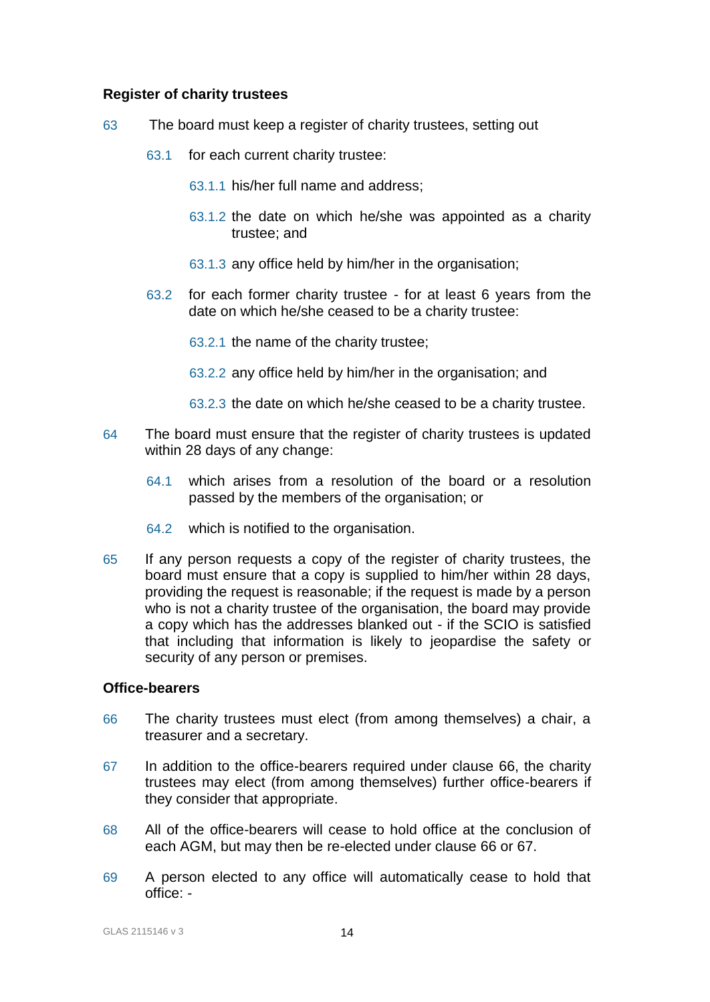### **Register of charity trustees**

- 63 The board must keep a register of charity trustees, setting out
	- 63.1 for each current charity trustee:
		- 63.1.1 his/her full name and address;
		- 63.1.2 the date on which he/she was appointed as a charity trustee; and
		- 63.1.3 any office held by him/her in the organisation;
	- 63.2 for each former charity trustee for at least 6 years from the date on which he/she ceased to be a charity trustee:
		- 63.2.1 the name of the charity trustee;
		- 63.2.2 any office held by him/her in the organisation; and
		- 63.2.3 the date on which he/she ceased to be a charity trustee.
- 64 The board must ensure that the register of charity trustees is updated within 28 days of any change:
	- 64.1 which arises from a resolution of the board or a resolution passed by the members of the organisation; or
	- 64.2 which is notified to the organisation.
- 65 If any person requests a copy of the register of charity trustees, the board must ensure that a copy is supplied to him/her within 28 days, providing the request is reasonable; if the request is made by a person who is not a charity trustee of the organisation, the board may provide a copy which has the addresses blanked out - if the SCIO is satisfied that including that information is likely to jeopardise the safety or security of any person or premises.

### **Office-bearers**

- 66 The charity trustees must elect (from among themselves) a chair, a treasurer and a secretary.
- 67 In addition to the office-bearers required under clause 66, the charity trustees may elect (from among themselves) further office-bearers if they consider that appropriate.
- 68 All of the office-bearers will cease to hold office at the conclusion of each AGM, but may then be re-elected under clause 66 or 67.
- 69 A person elected to any office will automatically cease to hold that office: -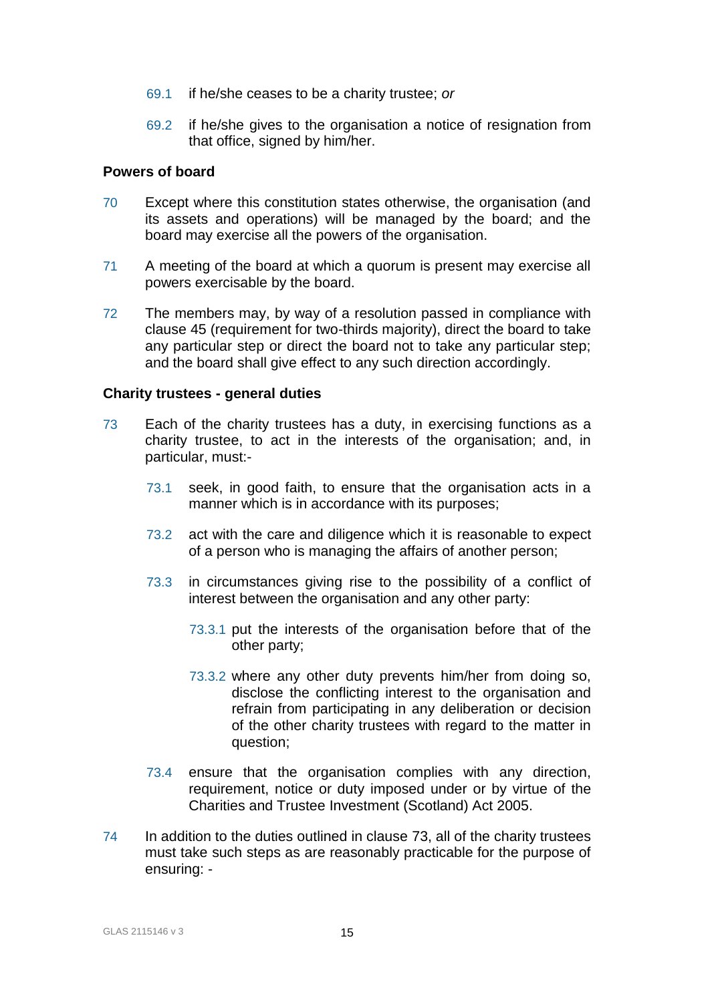- 69.1 if he/she ceases to be a charity trustee; *or*
- 69.2 if he/she gives to the organisation a notice of resignation from that office, signed by him/her.

#### **Powers of board**

- 70 Except where this constitution states otherwise, the organisation (and its assets and operations) will be managed by the board; and the board may exercise all the powers of the organisation.
- 71 A meeting of the board at which a quorum is present may exercise all powers exercisable by the board.
- 72 The members may, by way of a resolution passed in compliance with clause 45 (requirement for two-thirds majority), direct the board to take any particular step or direct the board not to take any particular step; and the board shall give effect to any such direction accordingly.

# **Charity trustees - general duties**

- 73 Each of the charity trustees has a duty, in exercising functions as a charity trustee, to act in the interests of the organisation; and, in particular, must:-
	- 73.1 seek, in good faith, to ensure that the organisation acts in a manner which is in accordance with its purposes;
	- 73.2 act with the care and diligence which it is reasonable to expect of a person who is managing the affairs of another person;
	- 73.3 in circumstances giving rise to the possibility of a conflict of interest between the organisation and any other party:
		- 73.3.1 put the interests of the organisation before that of the other party;
		- 73.3.2 where any other duty prevents him/her from doing so, disclose the conflicting interest to the organisation and refrain from participating in any deliberation or decision of the other charity trustees with regard to the matter in question;
	- 73.4 ensure that the organisation complies with any direction, requirement, notice or duty imposed under or by virtue of the Charities and Trustee Investment (Scotland) Act 2005.
- 74 In addition to the duties outlined in clause 73, all of the charity trustees must take such steps as are reasonably practicable for the purpose of ensuring: -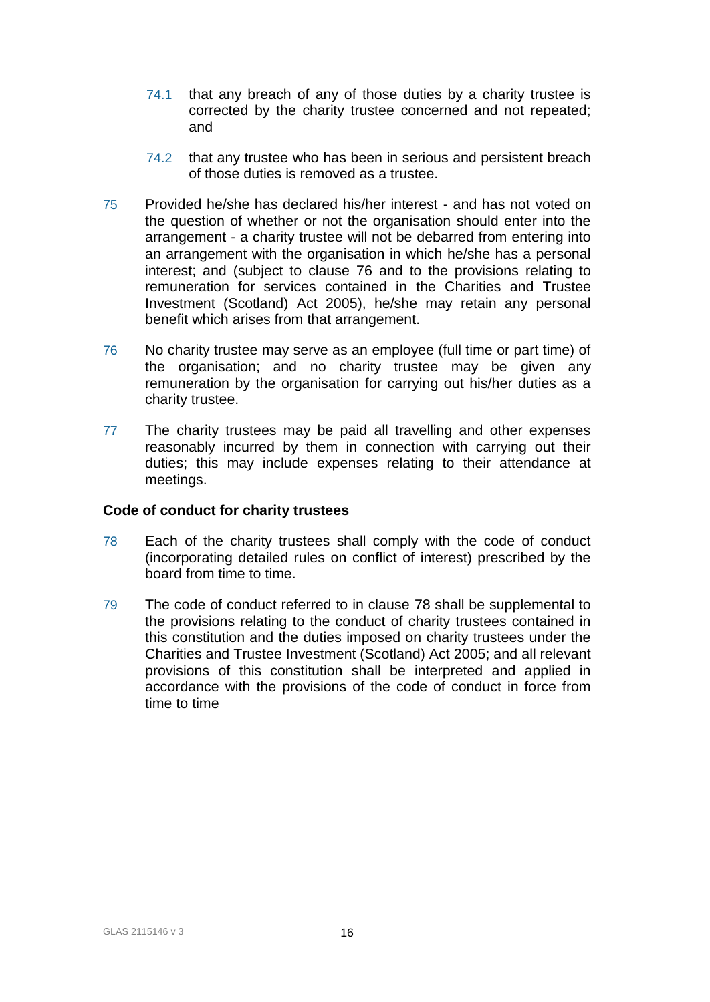- 74.1 that any breach of any of those duties by a charity trustee is corrected by the charity trustee concerned and not repeated; and
- 74.2 that any trustee who has been in serious and persistent breach of those duties is removed as a trustee.
- 75 Provided he/she has declared his/her interest and has not voted on the question of whether or not the organisation should enter into the arrangement - a charity trustee will not be debarred from entering into an arrangement with the organisation in which he/she has a personal interest; and (subject to clause 76 and to the provisions relating to remuneration for services contained in the Charities and Trustee Investment (Scotland) Act 2005), he/she may retain any personal benefit which arises from that arrangement.
- 76 No charity trustee may serve as an employee (full time or part time) of the organisation; and no charity trustee may be given any remuneration by the organisation for carrying out his/her duties as a charity trustee.
- 77 The charity trustees may be paid all travelling and other expenses reasonably incurred by them in connection with carrying out their duties; this may include expenses relating to their attendance at meetings.

#### **Code of conduct for charity trustees**

- 78 Each of the charity trustees shall comply with the code of conduct (incorporating detailed rules on conflict of interest) prescribed by the board from time to time.
- 79 The code of conduct referred to in clause 78 shall be supplemental to the provisions relating to the conduct of charity trustees contained in this constitution and the duties imposed on charity trustees under the Charities and Trustee Investment (Scotland) Act 2005; and all relevant provisions of this constitution shall be interpreted and applied in accordance with the provisions of the code of conduct in force from time to time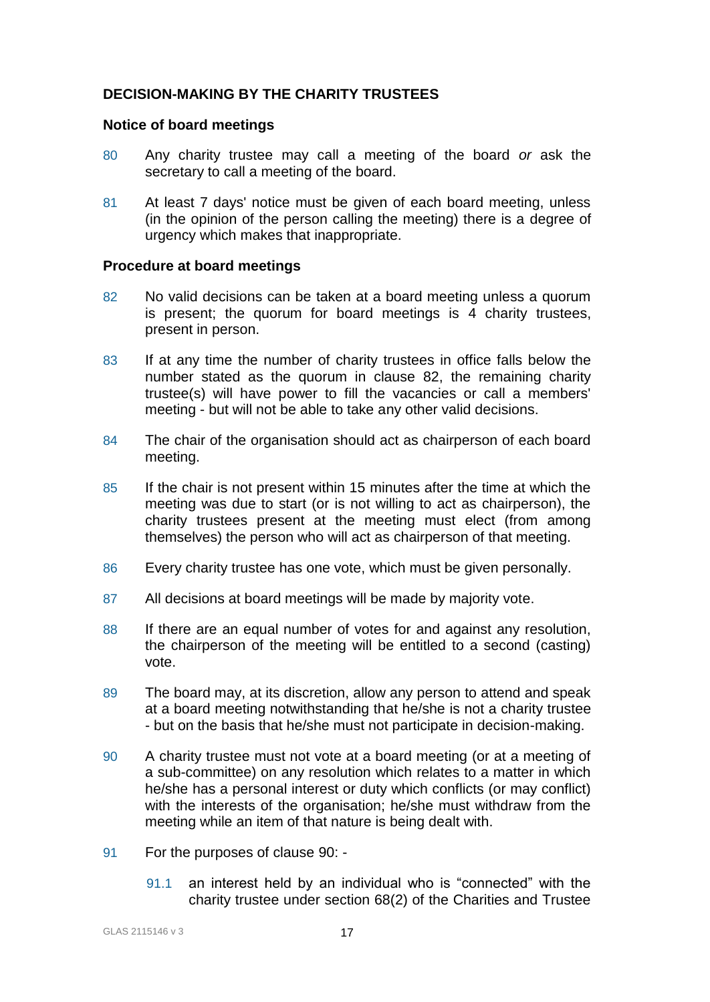# **DECISION-MAKING BY THE CHARITY TRUSTEES**

#### **Notice of board meetings**

- 80 Any charity trustee may call a meeting of the board *or* ask the secretary to call a meeting of the board.
- 81 At least 7 days' notice must be given of each board meeting, unless (in the opinion of the person calling the meeting) there is a degree of urgency which makes that inappropriate.

#### **Procedure at board meetings**

- 82 No valid decisions can be taken at a board meeting unless a quorum is present; the quorum for board meetings is 4 charity trustees, present in person.
- 83 If at any time the number of charity trustees in office falls below the number stated as the quorum in clause 82, the remaining charity trustee(s) will have power to fill the vacancies or call a members' meeting - but will not be able to take any other valid decisions.
- 84 The chair of the organisation should act as chairperson of each board meeting.
- 85 If the chair is not present within 15 minutes after the time at which the meeting was due to start (or is not willing to act as chairperson), the charity trustees present at the meeting must elect (from among themselves) the person who will act as chairperson of that meeting.
- 86 Every charity trustee has one vote, which must be given personally.
- 87 All decisions at board meetings will be made by majority vote.
- 88 If there are an equal number of votes for and against any resolution, the chairperson of the meeting will be entitled to a second (casting) vote.
- 89 The board may, at its discretion, allow any person to attend and speak at a board meeting notwithstanding that he/she is not a charity trustee - but on the basis that he/she must not participate in decision-making.
- 90 A charity trustee must not vote at a board meeting (or at a meeting of a sub-committee) on any resolution which relates to a matter in which he/she has a personal interest or duty which conflicts (or may conflict) with the interests of the organisation; he/she must withdraw from the meeting while an item of that nature is being dealt with.
- 91 For the purposes of clause 90:
	- 91.1 an interest held by an individual who is "connected" with the charity trustee under section 68(2) of the Charities and Trustee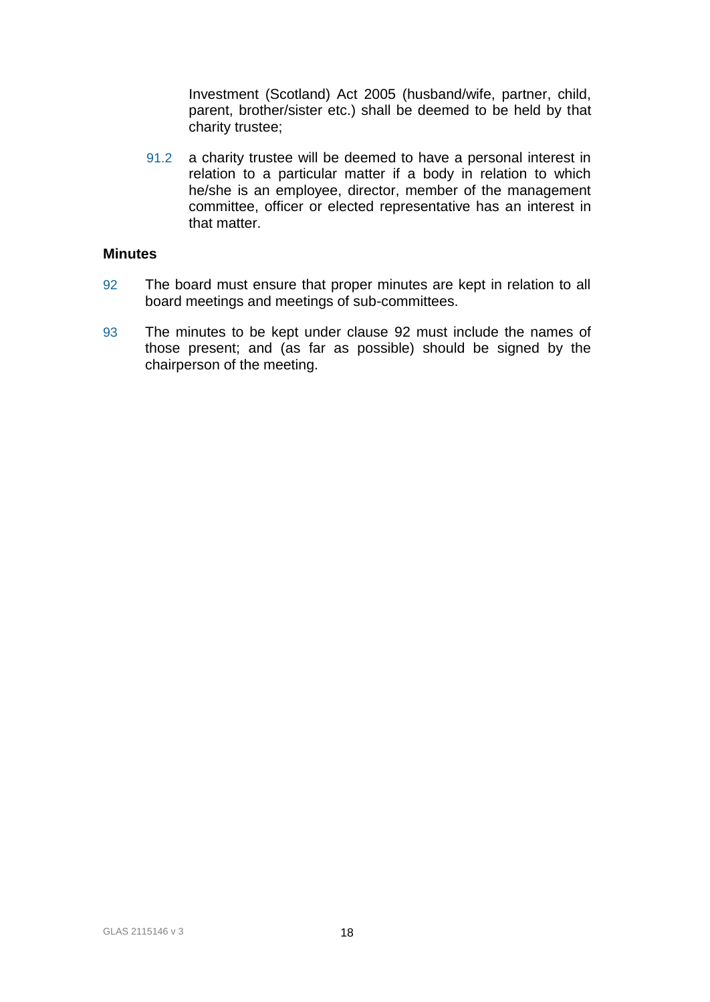Investment (Scotland) Act 2005 (husband/wife, partner, child, parent, brother/sister etc.) shall be deemed to be held by that charity trustee;

91.2 a charity trustee will be deemed to have a personal interest in relation to a particular matter if a body in relation to which he/she is an employee, director, member of the management committee, officer or elected representative has an interest in that matter.

#### **Minutes**

- 92 The board must ensure that proper minutes are kept in relation to all board meetings and meetings of sub-committees.
- 93 The minutes to be kept under clause 92 must include the names of those present; and (as far as possible) should be signed by the chairperson of the meeting.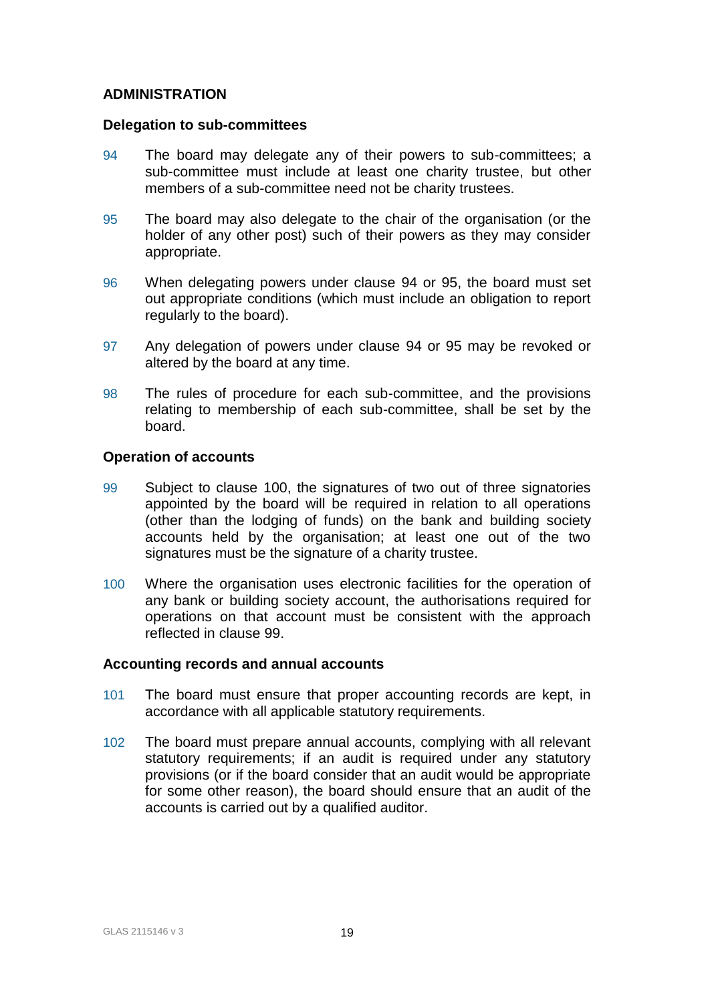# **ADMINISTRATION**

#### **Delegation to sub-committees**

- 94 The board may delegate any of their powers to sub-committees; a sub-committee must include at least one charity trustee, but other members of a sub-committee need not be charity trustees.
- 95 The board may also delegate to the chair of the organisation (or the holder of any other post) such of their powers as they may consider appropriate.
- 96 When delegating powers under clause 94 or 95, the board must set out appropriate conditions (which must include an obligation to report regularly to the board).
- 97 Any delegation of powers under clause 94 or 95 may be revoked or altered by the board at any time.
- 98 The rules of procedure for each sub-committee, and the provisions relating to membership of each sub-committee, shall be set by the board.

# **Operation of accounts**

- 99 Subject to clause 100, the signatures of two out of three signatories appointed by the board will be required in relation to all operations (other than the lodging of funds) on the bank and building society accounts held by the organisation; at least one out of the two signatures must be the signature of a charity trustee.
- 100 Where the organisation uses electronic facilities for the operation of any bank or building society account, the authorisations required for operations on that account must be consistent with the approach reflected in clause 99.

#### **Accounting records and annual accounts**

- 101 The board must ensure that proper accounting records are kept, in accordance with all applicable statutory requirements.
- 102 The board must prepare annual accounts, complying with all relevant statutory requirements; if an audit is required under any statutory provisions (or if the board consider that an audit would be appropriate for some other reason), the board should ensure that an audit of the accounts is carried out by a qualified auditor.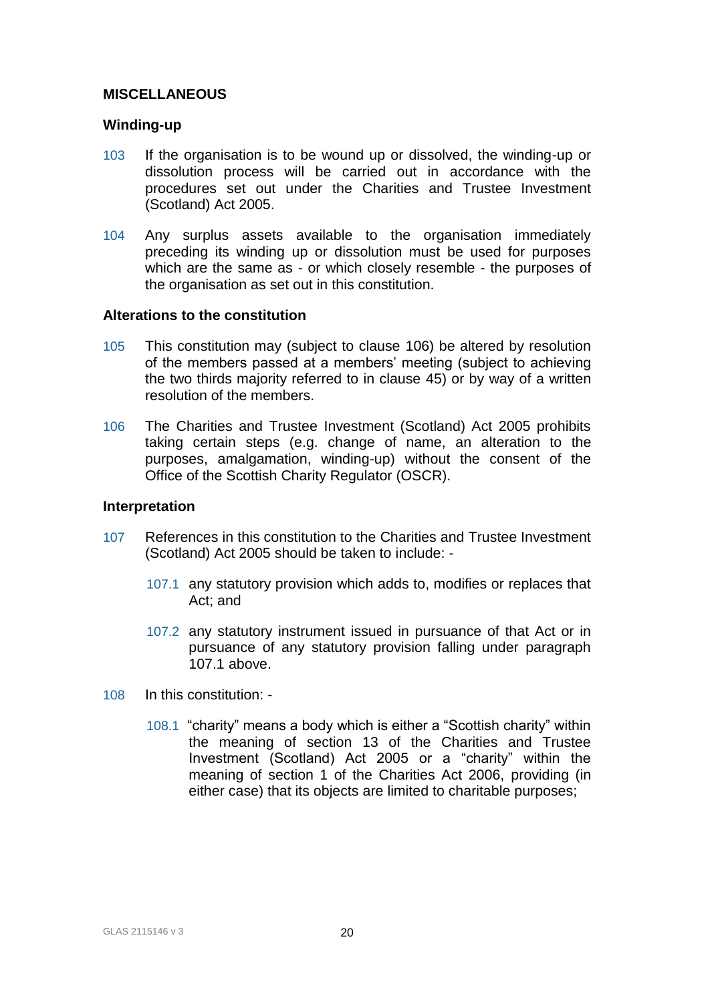# **MISCELLANEOUS**

#### **Winding-up**

- 103 If the organisation is to be wound up or dissolved, the winding-up or dissolution process will be carried out in accordance with the procedures set out under the Charities and Trustee Investment (Scotland) Act 2005.
- 104 Any surplus assets available to the organisation immediately preceding its winding up or dissolution must be used for purposes which are the same as - or which closely resemble - the purposes of the organisation as set out in this constitution.

#### **Alterations to the constitution**

- 105 This constitution may (subject to clause 106) be altered by resolution of the members passed at a members' meeting (subject to achieving the two thirds majority referred to in clause 45) or by way of a written resolution of the members.
- 106 The Charities and Trustee Investment (Scotland) Act 2005 prohibits taking certain steps (e.g. change of name, an alteration to the purposes, amalgamation, winding-up) without the consent of the Office of the Scottish Charity Regulator (OSCR).

#### **Interpretation**

- 107 References in this constitution to the Charities and Trustee Investment (Scotland) Act 2005 should be taken to include: -
	- 107.1 any statutory provision which adds to, modifies or replaces that Act; and
	- 107.2 any statutory instrument issued in pursuance of that Act or in pursuance of any statutory provision falling under paragraph 107.1 above.
- 108 In this constitution:
	- 108.1 "charity" means a body which is either a "Scottish charity" within the meaning of section 13 of the Charities and Trustee Investment (Scotland) Act 2005 or a "charity" within the meaning of section 1 of the Charities Act 2006, providing (in either case) that its objects are limited to charitable purposes;